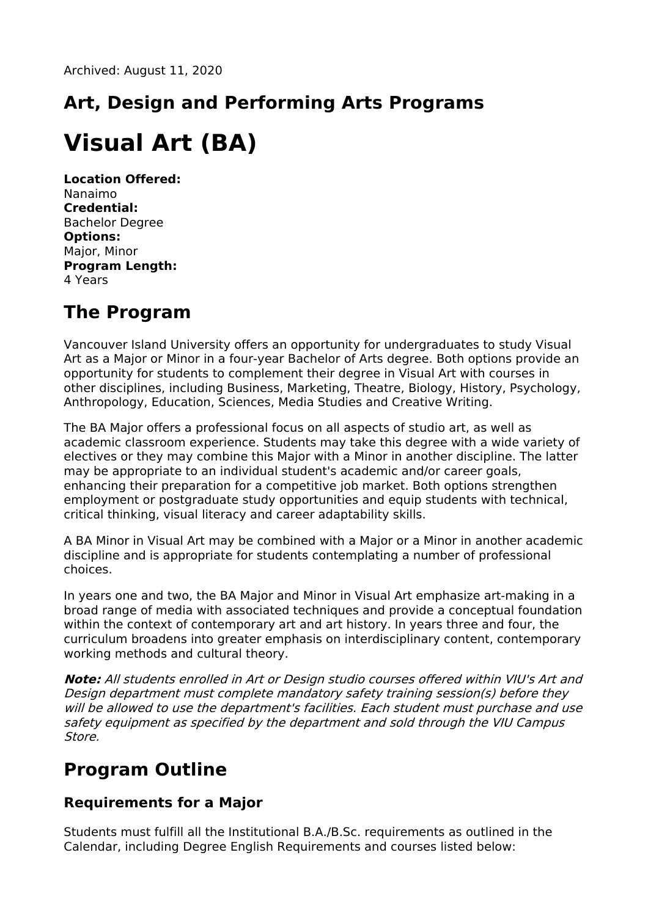## **Art, Design and Performing Arts Programs**

# **Visual Art (BA)**

**Location Offered:** Nanaimo **Credential:** Bachelor Degree **Options:** Major, Minor **Program Length:** 4 Years

#### **The Program**

Vancouver Island University offers an opportunity for undergraduates to study Visual Art as a Major or Minor in a four-year Bachelor of Arts degree. Both options provide an opportunity for students to complement their degree in Visual Art with courses in other disciplines, including Business, Marketing, Theatre, Biology, History, Psychology, Anthropology, Education, Sciences, Media Studies and Creative Writing.

The BA Major offers a professional focus on all aspects of studio art, as well as academic classroom experience. Students may take this degree with a wide variety of electives or they may combine this Major with a Minor in another discipline. The latter may be appropriate to an individual student's academic and/or career goals, enhancing their preparation for a competitive job market. Both options strengthen employment or postgraduate study opportunities and equip students with technical, critical thinking, visual literacy and career adaptability skills.

A BA Minor in Visual Art may be combined with a Major or a Minor in another academic discipline and is appropriate for students contemplating a number of professional choices.

In years one and two, the BA Major and Minor in Visual Art emphasize art-making in a broad range of media with associated techniques and provide a conceptual foundation within the context of contemporary art and art history. In years three and four, the curriculum broadens into greater emphasis on interdisciplinary content, contemporary working methods and cultural theory.

**Note:** All students enrolled in Art or Design studio courses offered within VIU's Art and Design department must complete mandatory safety training session(s) before they will be allowed to use the department's facilities. Each student must purchase and use safety equipment as specified by the department and sold through the VIU Campus Store.

#### **Program Outline**

#### **Requirements for a Major**

Students must fulfill all the Institutional B.A./B.Sc. requirements as outlined in the Calendar, including Degree English Requirements and courses listed below: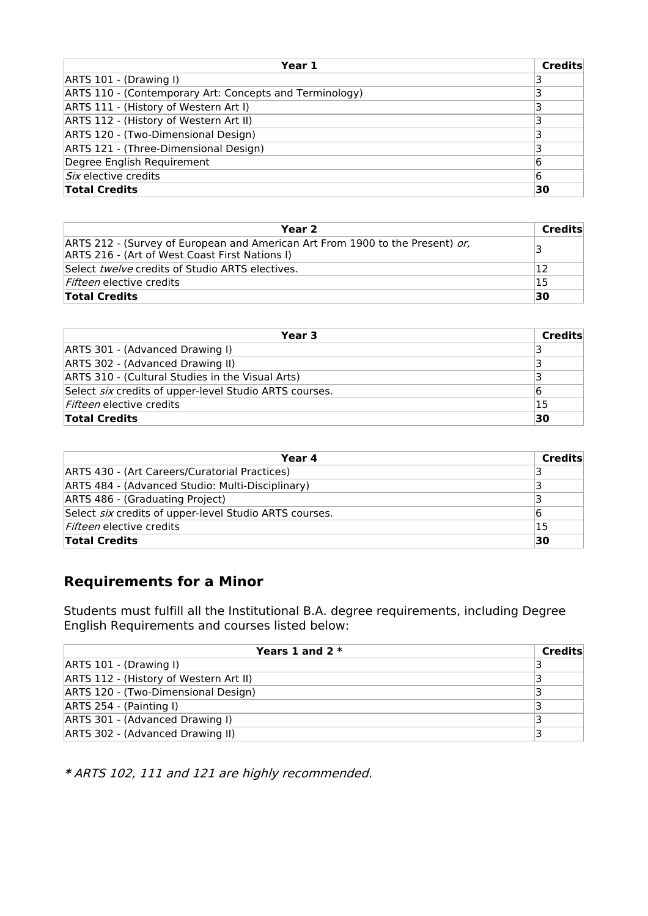| Year 1                                                  | <b>Credits</b> |
|---------------------------------------------------------|----------------|
| ARTS 101 - (Drawing I)                                  |                |
| ARTS 110 - (Contemporary Art: Concepts and Terminology) |                |
| ARTS 111 - (History of Western Art I)                   |                |
| ARTS 112 - (History of Western Art II)                  |                |
| ARTS 120 - (Two-Dimensional Design)                     |                |
| ARTS 121 - (Three-Dimensional Design)                   |                |
| Degree English Requirement                              | 6              |
| Six elective credits                                    | 6              |
| <b>Total Credits</b>                                    | 30             |

| Year 2                                                                                                                          | Credits |
|---------------------------------------------------------------------------------------------------------------------------------|---------|
| ARTS 212 - (Survey of European and American Art From 1900 to the Present) or,<br>ARTS 216 - (Art of West Coast First Nations I) | 3       |
| Select <i>twelve</i> credits of Studio ARTS electives.                                                                          | 12      |
| <i>Fifteen</i> elective credits                                                                                                 | 15      |
| <b>Total Credits</b>                                                                                                            | 30      |

| Year 3                                                 | Credits |
|--------------------------------------------------------|---------|
| ARTS 301 - (Advanced Drawing I)                        |         |
| ARTS 302 - (Advanced Drawing II)                       |         |
| ARTS 310 - (Cultural Studies in the Visual Arts)       |         |
| Select six credits of upper-level Studio ARTS courses. | 16      |
| <i>Fifteen</i> elective credits                        | 15      |
| <b>Total Credits</b>                                   | 30      |

| Year 4                                                 | Credits |
|--------------------------------------------------------|---------|
| ARTS 430 - (Art Careers/Curatorial Practices)          |         |
| ARTS 484 - (Advanced Studio: Multi-Disciplinary)       |         |
| ARTS 486 - (Graduating Project)                        |         |
| Select six credits of upper-level Studio ARTS courses. | 16      |
| <i>Fifteen</i> elective credits                        | 15      |
| <b>Total Credits</b>                                   | 30      |

#### **Requirements for a Minor**

Students must fulfill all the Institutional B.A. degree requirements, including Degree English Requirements and courses listed below:

| Years 1 and $2 *$                      | <b>Credits</b> |
|----------------------------------------|----------------|
| ARTS 101 - (Drawing I)                 |                |
| ARTS 112 - (History of Western Art II) |                |
| ARTS 120 - (Two-Dimensional Design)    |                |
| ARTS 254 - (Painting I)                |                |
| ARTS 301 - (Advanced Drawing I)        |                |
| ARTS 302 - (Advanced Drawing II)       |                |

**\*** ARTS 102, 111 and 121 are highly recommended.